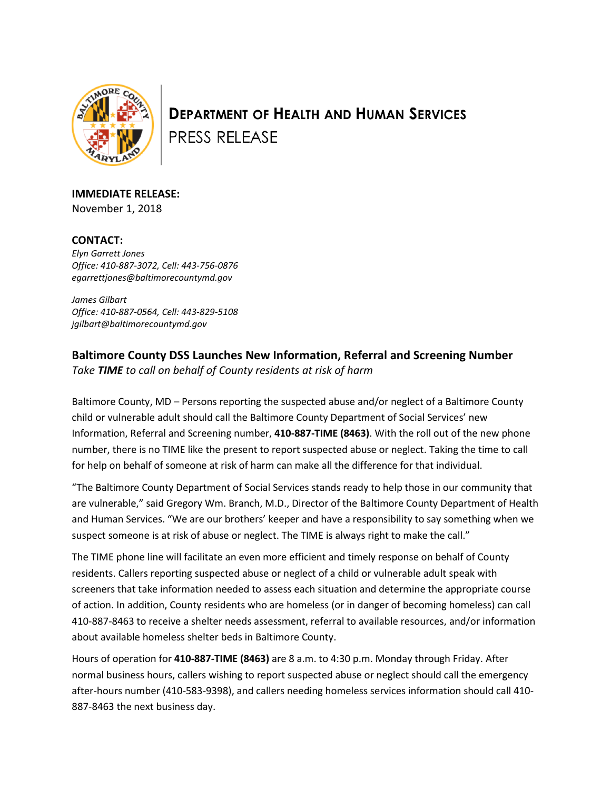

**DEPARTMENT OF HEALTH AND HUMAN SERVICES PRESS RELEASE** 

**IMMEDIATE RELEASE:** November 1, 2018

## **CONTACT:**

*Elyn Garrett Jones Office: 410-887-3072, Cell: 443-756-0876 egarrettjones@baltimorecountymd.gov*

*James Gilbart Office: 410-887-0564, Cell: 443-829-5108 jgilbart@baltimorecountymd.gov*

## **Baltimore County DSS Launches New Information, Referral and Screening Number**

*Take TIME to call on behalf of County residents at risk of harm* 

Baltimore County, MD – Persons reporting the suspected abuse and/or neglect of a Baltimore County child or vulnerable adult should call the Baltimore County Department of Social Services' new Information, Referral and Screening number, **410-887-TIME (8463)**. With the roll out of the new phone number, there is no TIME like the present to report suspected abuse or neglect. Taking the time to call for help on behalf of someone at risk of harm can make all the difference for that individual.

"The Baltimore County Department of Social Services stands ready to help those in our community that are vulnerable," said Gregory Wm. Branch, M.D., Director of the Baltimore County Department of Health and Human Services. "We are our brothers' keeper and have a responsibility to say something when we suspect someone is at risk of abuse or neglect. The TIME is always right to make the call."

The TIME phone line will facilitate an even more efficient and timely response on behalf of County residents. Callers reporting suspected abuse or neglect of a child or vulnerable adult speak with screeners that take information needed to assess each situation and determine the appropriate course of action. In addition, County residents who are homeless (or in danger of becoming homeless) can call 410-887-8463 to receive a shelter needs assessment, referral to available resources, and/or information about available homeless shelter beds in Baltimore County.

Hours of operation for **410-887-TIME (8463)** are 8 a.m. to 4:30 p.m. Monday through Friday. After normal business hours, callers wishing to report suspected abuse or neglect should call the emergency after-hours number (410-583-9398), and callers needing homeless services information should call 410- 887-8463 the next business day.